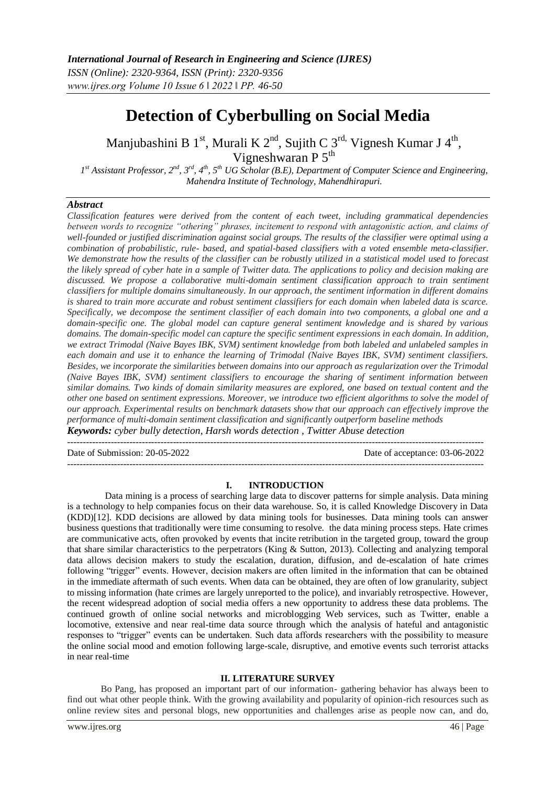*ISSN (Online): 2320-9364, ISSN (Print): 2320-9356 www.ijres.org Volume 10 Issue 6 ǁ 2022 ǁ PP. 46-50*

# **Detection of Cyberbulling on Social Media**

Manjubashini B 1<sup>st</sup>, Murali K 2<sup>nd</sup>, Sujith C 3<sup>rd,</sup> Vignesh Kumar J 4<sup>th</sup>, Vigneshwaran P 5<sup>th</sup>

*1 st Assistant Professor, 2nd, 3rd, 4th, 5th UG Scholar (B.E), Department of Computer Science and Engineering, Mahendra Institute of Technology, Mahendhirapuri.*

## *Abstract*

*Classification features were derived from the content of each tweet, including grammatical dependencies between words to recognize "othering" phrases, incitement to respond with antagonistic action, and claims of well-founded or justified discrimination against social groups. The results of the classifier were optimal using a combination of probabilistic, rule- based, and spatial-based classifiers with a voted ensemble meta-classifier. We demonstrate how the results of the classifier can be robustly utilized in a statistical model used to forecast the likely spread of cyber hate in a sample of Twitter data. The applications to policy and decision making are discussed. We propose a collaborative multi-domain sentiment classification approach to train sentiment classifiers for multiple domains simultaneously. In our approach, the sentiment information in different domains is shared to train more accurate and robust sentiment classifiers for each domain when labeled data is scarce. Specifically, we decompose the sentiment classifier of each domain into two components, a global one and a domain-specific one. The global model can capture general sentiment knowledge and is shared by various domains. The domain-specific model can capture the specific sentiment expressions in each domain. In addition, we extract Trimodal (Naive Bayes IBK, SVM) sentiment knowledge from both labeled and unlabeled samples in each domain and use it to enhance the learning of Trimodal (Naive Bayes IBK, SVM) sentiment classifiers. Besides, we incorporate the similarities between domains into our approach as regularization over the Trimodal (Naive Bayes IBK, SVM) sentiment classifiers to encourage the sharing of sentiment information between similar domains. Two kinds of domain similarity measures are explored, one based on textual content and the other one based on sentiment expressions. Moreover, we introduce two efficient algorithms to solve the model of our approach. Experimental results on benchmark datasets show that our approach can effectively improve the performance of multi-domain sentiment classification and significantly outperform baseline methods Keywords: cyber bully detection, Harsh words detection , Twitter Abuse detection*

Date of Submission: 20-05-2022 Date of acceptance: 03-06-2022

#### **I. INTRODUCTION**

--------------------------------------------------------------------------------------------------------------------------------------

 $-1\leq i\leq n-1$ 

Data mining is a process of searching large data to discover patterns for simple analysis. Data mining is a technology to help companies focus on their data warehouse. So, it is called Knowledge Discovery in Data (KDD)[12]. KDD decisions are allowed by data mining tools for businesses. Data mining tools can answer business questions that traditionally were time consuming to resolve. the data mining process steps. Hate crimes are communicative acts, often provoked by events that incite retribution in the targeted group, toward the group that share similar characteristics to the perpetrators (King & Sutton, 2013). Collecting and analyzing temporal data allows decision makers to study the escalation, duration, diffusion, and de-escalation of hate crimes following "trigger" events. However, decision makers are often limited in the information that can be obtained in the immediate aftermath of such events. When data can be obtained, they are often of low granularity, subject to missing information (hate crimes are largely unreported to the police), and invariably retrospective. However, the recent widespread adoption of social media offers a new opportunity to address these data problems. The continued growth of online social networks and microblogging Web services, such as Twitter, enable a locomotive, extensive and near real-time data source through which the analysis of hateful and antagonistic responses to "trigger" events can be undertaken. Such data affords researchers with the possibility to measure the online social mood and emotion following large-scale, disruptive, and emotive events such terrorist attacks in near real-time

## **II. LITERATURE SURVEY**

Bo Pang, has proposed an important part of our information- gathering behavior has always been to find out what other people think. With the growing availability and popularity of opinion-rich resources such as online review sites and personal blogs, new opportunities and challenges arise as people now can, and do,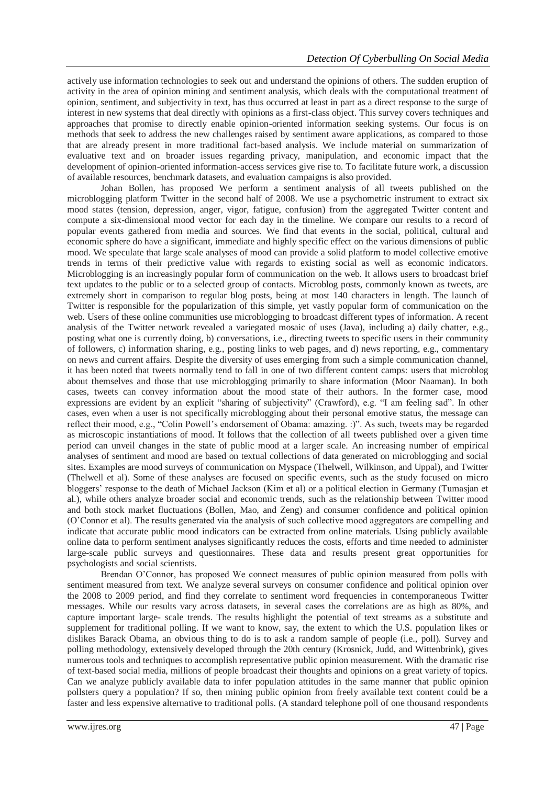actively use information technologies to seek out and understand the opinions of others. The sudden eruption of activity in the area of opinion mining and sentiment analysis, which deals with the computational treatment of opinion, sentiment, and subjectivity in text, has thus occurred at least in part as a direct response to the surge of interest in new systems that deal directly with opinions as a first-class object. This survey covers techniques and approaches that promise to directly enable opinion-oriented information seeking systems. Our focus is on methods that seek to address the new challenges raised by sentiment aware applications, as compared to those that are already present in more traditional fact-based analysis. We include material on summarization of evaluative text and on broader issues regarding privacy, manipulation, and economic impact that the development of opinion-oriented information-access services give rise to. To facilitate future work, a discussion of available resources, benchmark datasets, and evaluation campaigns is also provided.

Johan Bollen, has proposed We perform a sentiment analysis of all tweets published on the microblogging platform Twitter in the second half of 2008. We use a psychometric instrument to extract six mood states (tension, depression, anger, vigor, fatigue, confusion) from the aggregated Twitter content and compute a six-dimensional mood vector for each day in the timeline. We compare our results to a record of popular events gathered from media and sources. We find that events in the social, political, cultural and economic sphere do have a significant, immediate and highly specific effect on the various dimensions of public mood. We speculate that large scale analyses of mood can provide a solid platform to model collective emotive trends in terms of their predictive value with regards to existing social as well as economic indicators. Microblogging is an increasingly popular form of communication on the web. It allows users to broadcast brief text updates to the public or to a selected group of contacts. Microblog posts, commonly known as tweets, are extremely short in comparison to regular blog posts, being at most 140 characters in length. The launch of Twitter is responsible for the popularization of this simple, yet vastly popular form of communication on the web. Users of these online communities use microblogging to broadcast different types of information. A recent analysis of the Twitter network revealed a variegated mosaic of uses (Java), including a) daily chatter, e.g., posting what one is currently doing, b) conversations, i.e., directing tweets to specific users in their community of followers, c) information sharing, e.g., posting links to web pages, and d) news reporting, e.g., commentary on news and current affairs. Despite the diversity of uses emerging from such a simple communication channel, it has been noted that tweets normally tend to fall in one of two different content camps: users that microblog about themselves and those that use microblogging primarily to share information (Moor Naaman). In both cases, tweets can convey information about the mood state of their authors. In the former case, mood expressions are evident by an explicit "sharing of subjectivity" (Crawford), e.g. "I am feeling sad". In other cases, even when a user is not specifically microblogging about their personal emotive status, the message can reflect their mood, e.g., "Colin Powell's endorsement of Obama: amazing. :)". As such, tweets may be regarded as microscopic instantiations of mood. It follows that the collection of all tweets published over a given time period can unveil changes in the state of public mood at a larger scale. An increasing number of empirical analyses of sentiment and mood are based on textual collections of data generated on microblogging and social sites. Examples are mood surveys of communication on Myspace (Thelwell, Wilkinson, and Uppal), and Twitter (Thelwell et al). Some of these analyses are focused on specific events, such as the study focused on micro bloggers' response to the death of Michael Jackson (Kim et al) or a political election in Germany (Tumasjan et al.), while others analyze broader social and economic trends, such as the relationship between Twitter mood and both stock market fluctuations (Bollen, Mao, and Zeng) and consumer confidence and political opinion (O'Connor et al). The results generated via the analysis of such collective mood aggregators are compelling and indicate that accurate public mood indicators can be extracted from online materials. Using publicly available online data to perform sentiment analyses significantly reduces the costs, efforts and time needed to administer large-scale public surveys and questionnaires. These data and results present great opportunities for psychologists and social scientists.

Brendan O'Connor, has proposed We connect measures of public opinion measured from polls with sentiment measured from text. We analyze several surveys on consumer confidence and political opinion over the 2008 to 2009 period, and find they correlate to sentiment word frequencies in contemporaneous Twitter messages. While our results vary across datasets, in several cases the correlations are as high as 80%, and capture important large- scale trends. The results highlight the potential of text streams as a substitute and supplement for traditional polling. If we want to know, say, the extent to which the U.S. population likes or dislikes Barack Obama, an obvious thing to do is to ask a random sample of people (i.e., poll). Survey and polling methodology, extensively developed through the 20th century (Krosnick, Judd, and Wittenbrink), gives numerous tools and techniques to accomplish representative public opinion measurement. With the dramatic rise of text-based social media, millions of people broadcast their thoughts and opinions on a great variety of topics. Can we analyze publicly available data to infer population attitudes in the same manner that public opinion pollsters query a population? If so, then mining public opinion from freely available text content could be a faster and less expensive alternative to traditional polls. (A standard telephone poll of one thousand respondents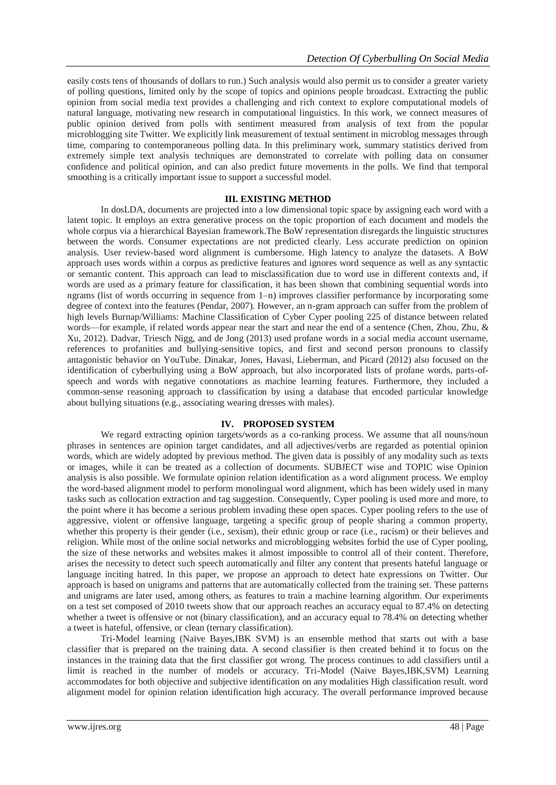easily costs tens of thousands of dollars to run.) Such analysis would also permit us to consider a greater variety of polling questions, limited only by the scope of topics and opinions people broadcast. Extracting the public opinion from social media text provides a challenging and rich context to explore computational models of natural language, motivating new research in computational linguistics. In this work, we connect measures of public opinion derived from polls with sentiment measured from analysis of text from the popular microblogging site Twitter. We explicitly link measurement of textual sentiment in microblog messages through time, comparing to contemporaneous polling data. In this preliminary work, summary statistics derived from extremely simple text analysis techniques are demonstrated to correlate with polling data on consumer confidence and political opinion, and can also predict future movements in the polls. We find that temporal smoothing is a critically important issue to support a successful model.

## **III. EXISTING METHOD**

In dosLDA, documents are projected into a low dimensional topic space by assigning each word with a latent topic. It employs an extra generative process on the topic proportion of each document and models the whole corpus via a hierarchical Bayesian framework.The BoW representation disregards the linguistic structures between the words. Consumer expectations are not predicted clearly. Less accurate prediction on opinion analysis. User review-based word alignment is cumbersome. High latency to analyze the datasets. A BoW approach uses words within a corpus as predictive features and ignores word sequence as well as any syntactic or semantic content. This approach can lead to misclassification due to word use in different contexts and, if words are used as a primary feature for classification, it has been shown that combining sequential words into ngrams (list of words occurring in sequence from 1-n) improves classifier performance by incorporating some degree of context into the features (Pendar, 2007). However, an n-gram approach can suffer from the problem of high levels Burnap/Williams: Machine Classification of Cyber Cyper pooling 225 of distance between related words—for example, if related words appear near the start and near the end of a sentence (Chen, Zhou, Zhu, & Xu, 2012). Dadvar, Triesch Nigg, and de Jong (2013) used profane words in a social media account username, references to profanities and bullying-sensitive topics, and first and second person pronouns to classify antagonistic behavior on YouTube. Dinakar, Jones, Havasi, Lieberman, and Picard (2012) also focused on the identification of cyberbullying using a BoW approach, but also incorporated lists of profane words, parts-ofspeech and words with negative connotations as machine learning features. Furthermore, they included a common-sense reasoning approach to classification by using a database that encoded particular knowledge about bullying situations (e.g., associating wearing dresses with males).

## **IV. PROPOSED SYSTEM**

We regard extracting opinion targets/words as a co-ranking process. We assume that all nouns/noun phrases in sentences are opinion target candidates, and all adjectives/verbs are regarded as potential opinion words, which are widely adopted by previous method. The given data is possibly of any modality such as texts or images, while it can be treated as a collection of documents. SUBJECT wise and TOPIC wise Opinion analysis is also possible. We formulate opinion relation identification as a word alignment process. We employ the word-based alignment model to perform monolingual word alignment, which has been widely used in many tasks such as collocation extraction and tag suggestion. Consequently, Cyper pooling is used more and more, to the point where it has become a serious problem invading these open spaces. Cyper pooling refers to the use of aggressive, violent or offensive language, targeting a specific group of people sharing a common property, whether this property is their gender (i.e., sexism), their ethnic group or race (i.e., racism) or their believes and religion. While most of the online social networks and microblogging websites forbid the use of Cyper pooling, the size of these networks and websites makes it almost impossible to control all of their content. Therefore, arises the necessity to detect such speech automatically and filter any content that presents hateful language or language inciting hatred. In this paper, we propose an approach to detect hate expressions on Twitter. Our approach is based on unigrams and patterns that are automatically collected from the training set. These patterns and unigrams are later used, among others, as features to train a machine learning algorithm. Our experiments on a test set composed of 2010 tweets show that our approach reaches an accuracy equal to 87.4% on detecting whether a tweet is offensive or not (binary classification), and an accuracy equal to 78.4% on detecting whether a tweet is hateful, offensive, or clean (ternary classification).

Tri-Model learning (Naïve Bayes,IBK SVM) is an ensemble method that starts out with a base classifier that is prepared on the training data. A second classifier is then created behind it to focus on the instances in the training data that the first classifier got wrong. The process continues to add classifiers until a limit is reached in the number of models or accuracy. Tri-Model (Naive Bayes,IBK,SVM) Learning accommodates for both objective and subjective identification on any modalities High classification result. word alignment model for opinion relation identification high accuracy. The overall performance improved because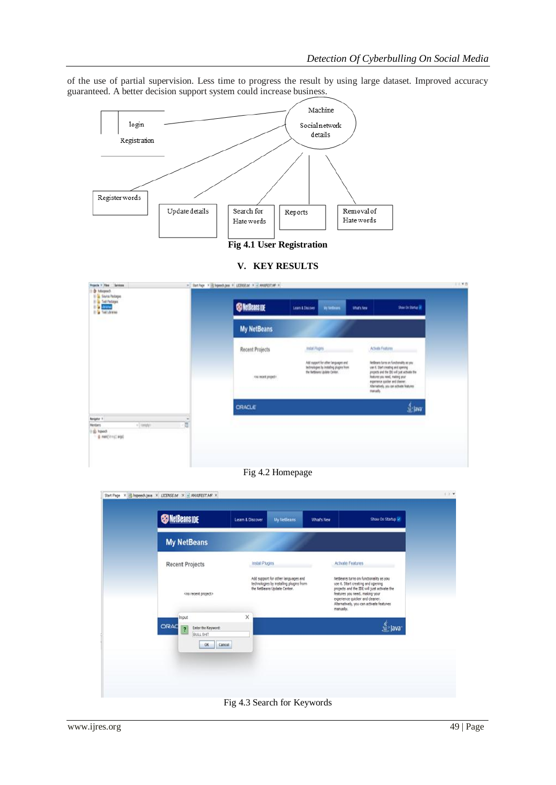of the use of partial supervision. Less time to progress the result by using large dataset. Improved accuracy guaranteed. A better decision support system could increase business.



**Fig 4.1 User Registration**

**V. KEY RESULTS**

| Projects V. Flow Bentons<br><b>Distance</b>                                                               |   | = Start Fage X in hopestypes = LICERSEAR X = MINESTEAR = |                                                                                                                   |                    |                   |                                                                                                                                                                                                                                             |
|-----------------------------------------------------------------------------------------------------------|---|----------------------------------------------------------|-------------------------------------------------------------------------------------------------------------------|--------------------|-------------------|---------------------------------------------------------------------------------------------------------------------------------------------------------------------------------------------------------------------------------------------|
| ID To Source Packages<br><b>BI &amp; Test Packages</b><br><b>B</b> DAVING<br>II <sup>I</sup> Tell Loranes |   | <b>SO NetBeans IDE</b>                                   | Learn & Discover                                                                                                  | <b>Wildfinials</b> | <b>Warkney</b>    | Show On Startup SR                                                                                                                                                                                                                          |
|                                                                                                           |   | <b>My NetBeans</b>                                       |                                                                                                                   |                    |                   |                                                                                                                                                                                                                                             |
|                                                                                                           |   | <b>Recent Projects</b>                                   | mtal.Pkgms                                                                                                        |                    | Activity Features |                                                                                                                                                                                                                                             |
|                                                                                                           |   | rea recent project >                                     | Add mapport for other languages and :<br>technologies by installing plugers from<br>the turtleans Lisable Center. |                    | neuds.            | NetBrent turns on functionality an you<br>use it. Start creating and opening<br>projects and the 250 volt just activate the<br>Returns you need, materia year<br>experience quicker and dealer.<br>Alternatively, you can achiefe features: |
|                                                                                                           |   | CRACLE                                                   |                                                                                                                   |                    |                   | <b>A</b> Java                                                                                                                                                                                                                               |
| Assignia 1<br>$+1$ (angle)<br>Nenbert<br><b>Garage</b><br>0 ment(in mg) angg)                             | U |                                                          |                                                                                                                   |                    |                   |                                                                                                                                                                                                                                             |
|                                                                                                           |   |                                                          |                                                                                                                   |                    |                   |                                                                                                                                                                                                                                             |

Fig 4.2 Homepage